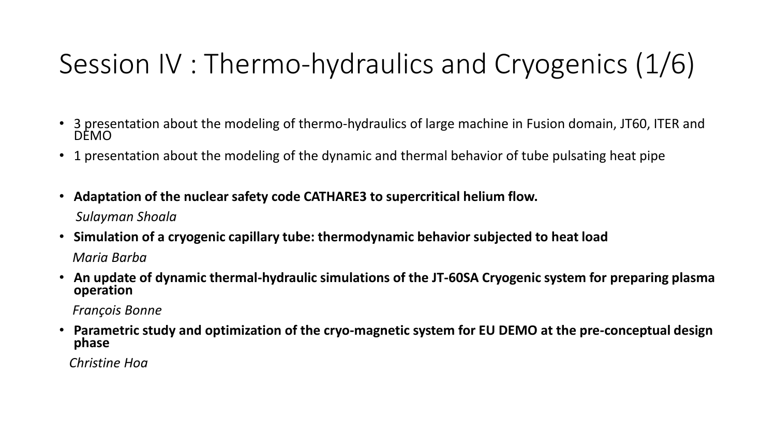# Session IV : Thermo-hydraulics and Cryogenics (1/6)

- 3 presentation about the modeling of thermo-hydraulics of large machine in Fusion domain, JT60, ITER and DEMO
- 1 presentation about the modeling of the dynamic and thermal behavior of tube pulsating heat pipe
- **Adaptation of the nuclear safety code CATHARE3 to supercritical helium flow.** *Sulayman Shoala*
- **Simulation of a cryogenic capillary tube: thermodynamic behavior subjected to heat load** *Maria Barba*
- **An update of dynamic thermal-hydraulic simulations of the JT-60SA Cryogenic system for preparing plasma operation**

*François Bonne*

• **Parametric study and optimization of the cryo-magnetic system for EU DEMO at the pre-conceptual design phase**

*Christine Hoa*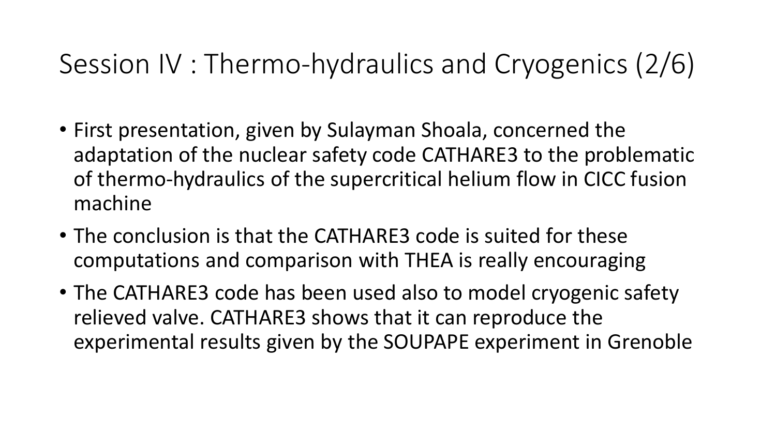## Session IV : Thermo-hydraulics and Cryogenics (2/6)

- First presentation, given by Sulayman Shoala, concerned the adaptation of the nuclear safety code CATHARE3 to the problematic of thermo-hydraulics of the supercritical helium flow in CICC fusion machine
- The conclusion is that the CATHARE3 code is suited for these computations and comparison with THEA is really encouraging
- The CATHARE3 code has been used also to model cryogenic safety relieved valve. CATHARE3 shows that it can reproduce the experimental results given by the SOUPAPE experiment in Grenoble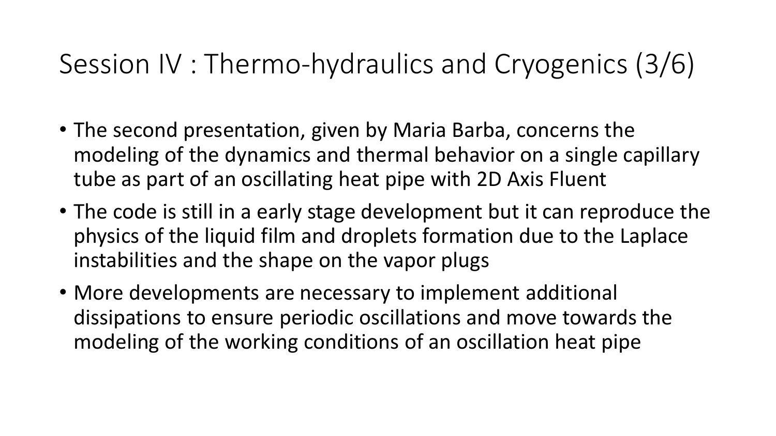### Session IV : Thermo-hydraulics and Cryogenics (3/6)

- The second presentation, given by Maria Barba, concerns the modeling of the dynamics and thermal behavior on a single capillary tube as part of an oscillating heat pipe with 2D Axis Fluent
- The code is still in a early stage development but it can reproduce the physics of the liquid film and droplets formation due to the Laplace instabilities and the shape on the vapor plugs
- More developments are necessary to implement additional dissipations to ensure periodic oscillations and move towards the modeling of the working conditions of an oscillation heat pipe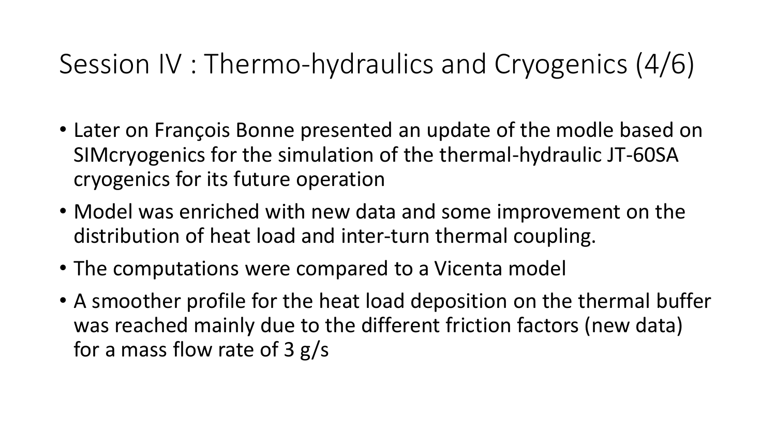## Session IV : Thermo-hydraulics and Cryogenics (4/6)

- Later on François Bonne presented an update of the modle based on SIMcryogenics for the simulation of the thermal-hydraulic JT-60SA cryogenics for its future operation
- Model was enriched with new data and some improvement on the distribution of heat load and inter-turn thermal coupling.
- The computations were compared to a Vicenta model
- A smoother profile for the heat load deposition on the thermal buffer was reached mainly due to the different friction factors (new data) for a mass flow rate of 3 g/s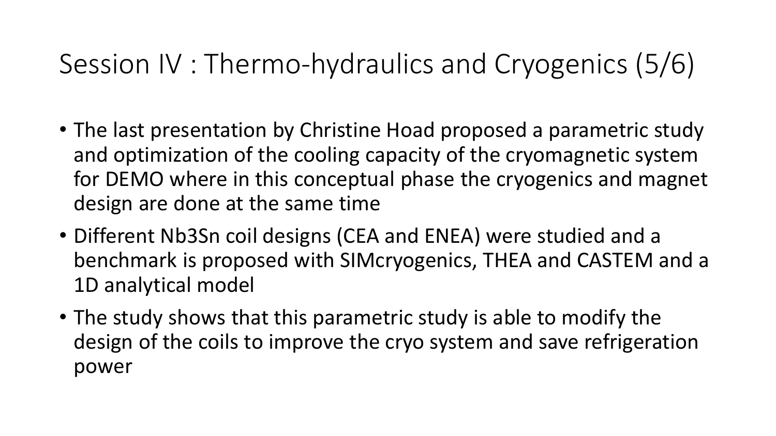## Session IV : Thermo-hydraulics and Cryogenics (5/6)

- The last presentation by Christine Hoad proposed a parametric study and optimization of the cooling capacity of the cryomagnetic system for DEMO where in this conceptual phase the cryogenics and magnet design are done at the same time
- Different Nb3Sn coil designs (CEA and ENEA) were studied and a benchmark is proposed with SIMcryogenics, THEA and CASTEM and a 1D analytical model
- The study shows that this parametric study is able to modify the design of the coils to improve the cryo system and save refrigeration power